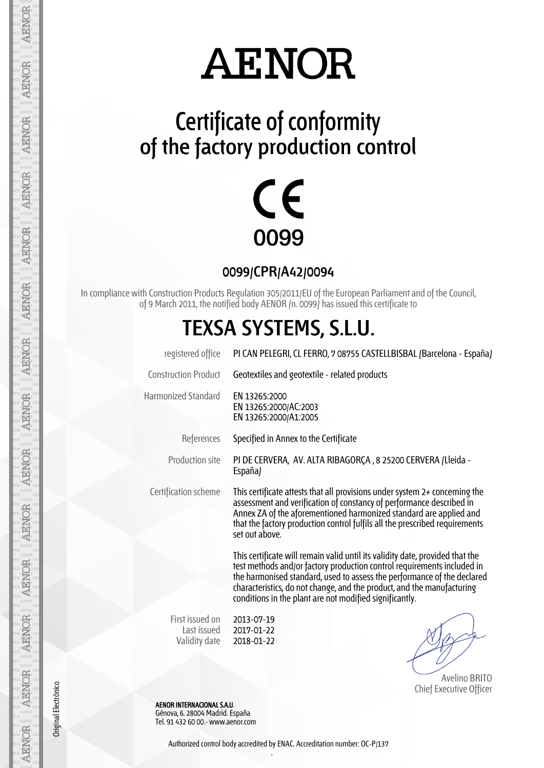## **AENOR**

### **Certificate of conformity of the factory production control**



**0099/CPR/A42/0094**

In compliance with Construction Products Regulation 305/2011/EU of the European Parliament and of the Council, of 9 March 2011, the notified body AENOR (n. 0099) has issued this certificate to

#### **TEXSA SYSTEMS, S.L.U.**

| registered office                               | PI CAN PELEGRI, CL FERRO, 7 08755 CASTELLBISBAL (Barcelona - España)                                                                                                                                                                                                                                                                                                     |  |  |  |  |  |  |  |
|-------------------------------------------------|--------------------------------------------------------------------------------------------------------------------------------------------------------------------------------------------------------------------------------------------------------------------------------------------------------------------------------------------------------------------------|--|--|--|--|--|--|--|
| <b>Construction Product</b>                     | Geotextiles and geotextile - related products                                                                                                                                                                                                                                                                                                                            |  |  |  |  |  |  |  |
| <b>Harmonized Standard</b>                      | EN 13265:2000<br>EN 13265:2000/AC:2003<br>EN 13265:2000/A1:2005                                                                                                                                                                                                                                                                                                          |  |  |  |  |  |  |  |
| References                                      | Specified in Annex to the Certificate                                                                                                                                                                                                                                                                                                                                    |  |  |  |  |  |  |  |
| Production site                                 | PI DE CERVERA, AV. ALTA RIBAGORÇA, 8 25200 CERVERA (Lleida -<br>España)                                                                                                                                                                                                                                                                                                  |  |  |  |  |  |  |  |
| Certification scheme                            | This certificate attests that all provisions under system $2+$ concerning the<br>assessment and verification of constancy of performance described in<br>Annex ZA of the aforementioned harmonized standard are applied and<br>that the factory production control fulfils all the prescribed requirements<br>set out above.                                             |  |  |  |  |  |  |  |
|                                                 | This certificate will remain valid until its validity date, provided that the<br>test methods and/or factory production control requirements included in<br>the harmonised standard, used to assess the performance of the declared<br>characteristics, do not change, and the product, and the manufacturing<br>conditions in the plant are not modified significantly. |  |  |  |  |  |  |  |
| First issued on<br>Last issued<br>Validity date | 2013-07-19<br>2017-01-22<br>2018-01-22                                                                                                                                                                                                                                                                                                                                   |  |  |  |  |  |  |  |

 Avelino BRITO Chief Executive Officer

 AENOR INTERNACIONAL S.A.U. Génova, 6. 28004 Madrid. España Tel. 91 432 60 00.- www.aenor.com

Original Electrónico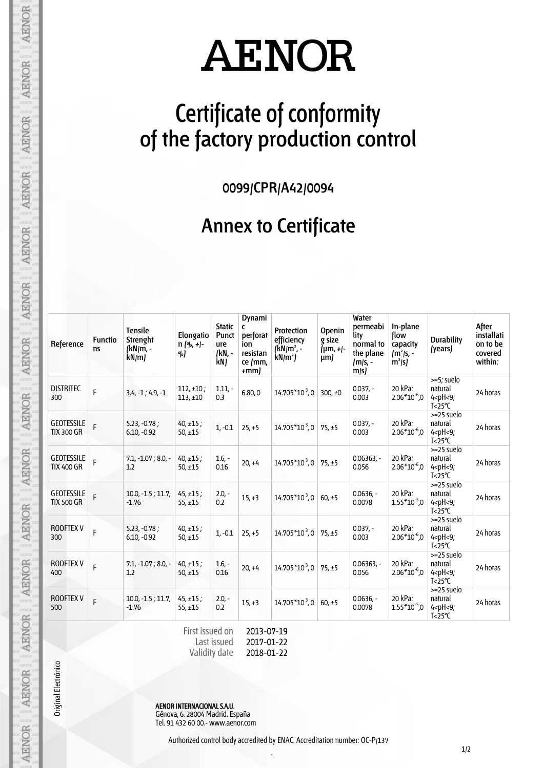# **AENOR**

### **Certificate of conformity of the factory production control**

**0099/CPR/A42/0094**

#### **Annex to Certificate**

| Reference                              | <b>Functio</b><br><b>ns</b> | <b>Tensile</b><br>Strenght<br>(kN/m, -<br>kN/m | Elongatio<br>$n (90, +1)$<br>%) | <b>Static</b><br>Punct<br>ure<br>/kN, -<br>kN) | Dynami<br>C<br>perforat<br>ion<br>resistan<br>ce /mm,<br>$+mm$ | Protection<br>efficiency<br>$(kN/m^2, -$<br>$kN/m^2$ | <b>Openin</b><br>g size<br>${\mu m, +}$<br>$\mu$ m) | Water<br>permeabi<br>lity<br>normal to<br>the plane<br>/m/s, -<br>m/s | In-plane<br>flow<br>capacity<br>$\int m^2$ /s, -<br>$m^2/s$ | <b>Durability</b><br>(years)                                                      | After<br>installati<br>on to be<br>covered<br>within: |
|----------------------------------------|-----------------------------|------------------------------------------------|---------------------------------|------------------------------------------------|----------------------------------------------------------------|------------------------------------------------------|-----------------------------------------------------|-----------------------------------------------------------------------|-------------------------------------------------------------|-----------------------------------------------------------------------------------|-------------------------------------------------------|
| <b>DISTRITEC</b><br>300                | F                           | $3.4, -1, 4.9, -1$                             | $112, \pm 10;$<br>113,±10       | $1.11,-$<br>0.3                                | 6.80, 0                                                        | $14.705*10^3,0$                                      | 300, $±0$                                           | $0.037 -$<br>0.003                                                    | 20 kPa:<br>$2.06*10^{-6}$ ,0                                | >=5; suelo<br>natural<br>$4$ <ph <9;<br=""><math>T &lt; 25^{\circ}C</math></ph>   | 24 horas                                              |
| <b>GEOTESSILE</b><br><b>TIX 300 GR</b> | F                           | $5.23, -0.78;$<br>$6.10, -0.92$                | $40, \pm 15$ ;<br>$50, \pm 15$  | $1, -0.1$                                      | $25, +5$                                                       | $14.705*10^3,0$                                      | 75, ±5                                              | $0.037 -$<br>0.003                                                    | 20 kPa:<br>$2.06*10^{-6}$ ,0                                | $>=25$ suelo<br>natural<br>$4$ <ph <9;<br=""><math>T &lt; 25^{\circ}C</math></ph> | 24 horas                                              |
| <b>GEOTESSILE</b><br><b>TIX 400 GR</b> | F                           | $7.1, -1.07, 8.0, -$<br>1.2                    | $40, \pm 15$ ;<br>$50, \pm 15$  | $1.6 -$<br>0.16                                | $20, +4$                                                       | 14.705*10 <sup>3</sup> ,0                            | 75.±5                                               | $0.06363,-$<br>0.056                                                  | 20 kPa:<br>$2.06*10^{-6}$ ,0                                | $>=25$ suelo<br>natural<br>$4$ <ph <9;<br=""><math>T &lt; 25^{\circ}C</math></ph> | 24 horas                                              |
| <b>GEOTESSILE</b><br><b>TIX 500 GR</b> | F                           | $10.0, -1.5, 11.7,$<br>$-1.76$                 | $45, \pm 15;$<br>$55, \pm 15$   | $2.0 -$<br>0.2                                 | $15, +3$                                                       | 14.705*103,0                                         | $60, \pm 5$                                         | $0.0636,-$<br>0.0078                                                  | 20 kPa:<br>$1.55*10^{-5}$ ,0                                | $>=25$ suelo<br>natural<br>$4$ <ph <9;<br=""><math>T &lt; 25^{\circ}C</math></ph> | 24 horas                                              |
| <b>ROOFTEX V</b><br>300                | F                           | $5.23, -0.78;$<br>$6.10, -0.92$                | $40, \pm 15$ ;<br>50, $±15$     | $1. -0.1$                                      | $25, +5$                                                       | $14.705*10^3,0$                                      | 75, ±5                                              | $0.037 -$<br>0.003                                                    | 20 kPa:<br>$2.06*10-6$ ,0                                   | $>=25$ suelo<br>natural<br>$4$ <ph <9;<br=""><math>T &lt; 25^{\circ}C</math></ph> | 24 horas                                              |
| <b>ROOFTEX V</b><br>400                | F                           | $7.1, -1.07; 8.0, -$<br>1.2                    | $40, \pm 15$ ;<br>$50, \pm 15$  | $1.6. -$<br>0.16                               | $20, +4$                                                       | 14.705*103,0                                         | 75, ±5                                              | $0.06363. -$<br>0.056                                                 | 20 kPa:<br>$2.06*10^{-6}$ ,0                                | >=25 suelo<br>natural<br>$4$ <ph <9;<br=""><math>T &lt; 25^{\circ}C</math></ph>   | 24 horas                                              |
| <b>ROOFTEX V</b><br>500                | F                           | $10.0, -1.5, 11.7,$<br>$-1.76$                 | $45, \pm 15$ ;<br>$55, \pm 15$  | $2.0 -$<br>0.2                                 | $15, +3$                                                       | $14.705*10^3,0$                                      | 60, ±5                                              | $0.0636,-$<br>0.0078                                                  | 20 kPa:<br>$1.55*10^{-5}$ ,0                                | >=25 suelo<br>natural<br>$4$ <ph <9;<br=""><math>T &lt; 25^{\circ}C</math></ph>   | 24 horas                                              |

**AENOR** 

AENOR

**AENOR** 

**AENOR** 

**AENOR** 

**AENOR** 

AENOR

AENOR

**AENOR** 

**AENOR** 

**AENOR** 

AENOR

AENOR

**AENOR** 

Original Electrónico

AENOR INTERNACIONAL S.A.U. Génova, 6. 28004 Madrid. España Tel. 91 432 60 00.- www.aenor.com

Last issued Validity date

.

2017-01-22 2018-01-22